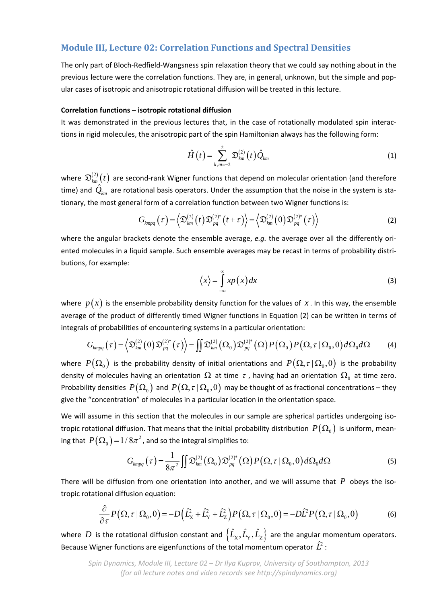# **Module III, Lecture 02: Correlation Functions and Spectral Densities**

The only part of Bloch‐Redfield‐Wangsness spin relaxation theory that we could say nothing about in the previous lecture were the correlation functions. They are, in general, unknown, but the simple and popular cases of isotropic and anisotropic rotational diffusion will be treated in this lecture.

### **Correlation functions – isotropic rotational diffusion**

It was demonstrated in the previous lectures that, in the case of rotationally modulated spin interac‐ tions in rigid molecules, the anisotropic part of the spin Hamiltonian always has the following form:

$$
\hat{H}(t) = \sum_{k,m=-2}^{2} \mathfrak{D}_{km}^{(2)}(t) \hat{Q}_{km}
$$
 (1)

where  $\mathfrak{D}^{(2)}_{km}(t)$  are second-rank Wigner functions that depend on molecular orientation (and therefore time) and  $Q_{km}$  are rotational basis operators. Under the assumption that the noise in the system is stationary, the most general form of a correlation function between two Wigner functions is:

$$
G_{kmpq}(\tau) = \left\langle \mathfrak{D}_{k m}^{(2)}(t) \mathfrak{D}_{pq}^{(2)*}(t+\tau) \right\rangle = \left\langle \mathfrak{D}_{k m}^{(2)}(0) \mathfrak{D}_{pq}^{(2)*}(\tau) \right\rangle \tag{2}
$$

where the angular brackets denote the ensemble average, *e.g.* the average over all the differently oriented molecules in a liquid sample. Such ensemble averages may be recast in terms of probability distributions, for example:

$$
\langle x \rangle = \int_{-\infty}^{\infty} x p(x) dx
$$
 (3)

where  $p(x)$  is the ensemble probability density function for the values of x. In this way, the ensemble average of the product of differently timed Wigner functions in Equation (2) can be written in terms of integrals of probabilities of encountering systems in a particular orientation:

$$
G_{kmpq}(\tau) = \left\langle \mathfrak{D}_{km}^{(2)}(\tau) \mathfrak{D}_{pq}^{(2)*}(\tau) \right\rangle = \iint \mathfrak{D}_{km}^{(2)}(\Omega_0) \mathfrak{D}_{pq}^{(2)*}(\Omega) P(\Omega_0) P(\Omega, \tau | \Omega_0, 0) d\Omega_0 d\Omega \tag{4}
$$

where  $P(\Omega_0)$  is the probability density of initial orientations and  $P(\Omega, \tau | \Omega_0, 0)$  is the probability density of molecules having an orientation  $\Omega$  at time  $\tau$ , having had an orientation  $\Omega_0$  at time zero. Probability densities  $P(\Omega_0)$  and  $P(\Omega, \tau | \Omega_0, 0)$  may be thought of as fractional concentrations – they give the "concentration" of molecules in a particular location in the orientation space.

We will assume in this section that the molecules in our sample are spherical particles undergoing isotropic rotational diffusion. That means that the initial probability distribution  $P(\Omega_0)$  is uniform, meaning that  $\,P\big(\Omega_{_{0}}\big)\!=\!1\!/ \,8\pi^{2}$  , and so the integral simplifies to:

$$
G_{\text{kmpq}}(\tau) = \frac{1}{8\pi^2} \iint \mathfrak{D}_{\text{km}}^{(2)}(\Omega_0) \mathfrak{D}_{\text{pq}}^{(2)*}(\Omega) P(\Omega, \tau | \Omega_0, 0) d\Omega_0 d\Omega \tag{5}
$$

There will be diffusion from one orientation into another, and we will assume that  $P$  obeys the isotropic rotational diffusion equation:

$$
\frac{\partial}{\partial \tau} P\big(\Omega, \tau \,|\, \Omega_0, 0\big) = -D\Big(\hat{L}_X^2 + \hat{L}_Y^2 + \hat{L}_Z^2\Big) P\big(\Omega, \tau \,|\, \Omega_0, 0\big) = -D\hat{L}^2 P\big(\Omega, \tau \,|\, \Omega_0, 0\big) \tag{6}
$$

where  $D$  is the rotational diffusion constant and  $\left\{\hat{L}_{X},\hat{L}_{Y},\hat{L}_{Z}\right\}$  are the angular momentum operators. Because Wigner functions are eigenfunctions of the total momentum operator  $\hat{L}^2$  :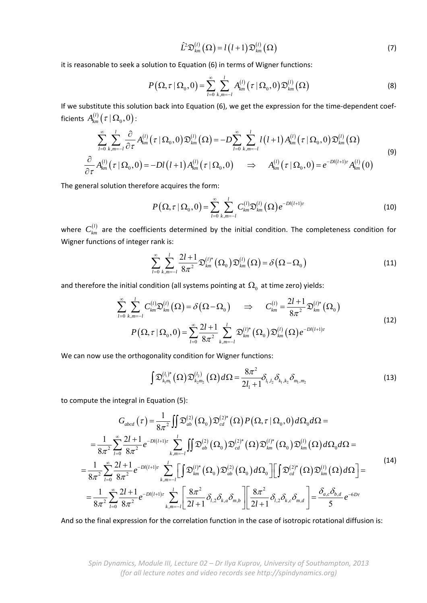$$
\hat{L}^2 \mathfrak{D}_{km}^{(l)}(\Omega) = l(l+1) \mathfrak{D}_{km}^{(l)}(\Omega)
$$
\n(7)

it is reasonable to seek a solution to Equation (6) in terms of Wigner functions:

$$
P\left(\Omega,\tau\,|\,\Omega_0,0\right)=\sum_{l=0}^{\infty}\sum_{k,m=-l}^{l}A_{km}^{(l)}\left(\tau\,|\,\Omega_0,0\right)\mathfrak{D}_{km}^{(l)}\left(\Omega\right)
$$
(8)

If we substitute this solution back into Equation (6), we get the expression for the time-dependent coefficients  $A_{\scriptscriptstyle km}^{(l)}\bigl(\hbox{\boldmath $\tau$} \,|\, \Omega_{0}, 0\bigr)$  :

$$
\sum_{l=0}^{\infty} \sum_{k,m=-l}^{l} \frac{\partial}{\partial \tau} A_{km}^{(l)}(\tau | \Omega_0, 0) \mathfrak{D}_{km}^{(l)}(\Omega) = -D \sum_{l=0}^{\infty} \sum_{k,m=-l}^{l} l(l+1) A_{km}^{(l)}(\tau | \Omega_0, 0) \mathfrak{D}_{km}^{(l)}(\Omega)
$$
\n
$$
\frac{\partial}{\partial \tau} A_{km}^{(l)}(\tau | \Omega_0, 0) = -Dl(l+1) A_{km}^{(l)}(\tau | \Omega_0, 0) \implies A_{km}^{(l)}(\tau | \Omega_0, 0) = e^{-Dl(l+1)\tau} A_{km}^{(l)}(0)
$$
\n(9)

The general solution therefore acquires the form:

$$
P\left(\Omega, \tau \,|\, \Omega_{0}, 0\right) = \sum_{l=0}^{\infty} \sum_{k,m=-l}^{l} C_{km}^{(l)} \mathfrak{D}_{km}^{(l)}\left(\Omega\right) e^{-Dl(l+1)\tau} \tag{10}
$$

where  $C_{km}^{(l)}$  are the coefficients determined by the initial condition. The completeness condition for Wigner functions of integer rank is:

$$
\sum_{l=0}^{\infty} \sum_{k,m=-l}^{l} \frac{2l+1}{8\pi^2} \mathfrak{D}_{km}^{(l)*}(\Omega_0) \mathfrak{D}_{km}^{(l)}(\Omega) = \delta\big(\Omega - \Omega_0\big)
$$
\n(11)

and therefore the initial condition (all systems pointing at  $\, \Omega_{\rm 0} \,$  at time zero) yields:

$$
\sum_{l=0}^{\infty} \sum_{k,m=-l}^{l} C_{km}^{(l)} \mathfrak{D}_{km}^{(l)}(\Omega) = \delta(\Omega - \Omega_0) \Rightarrow C_{km}^{(l)} = \frac{2l+1}{8\pi^2} \mathfrak{D}_{km}^{(l)^*}(\Omega_0)
$$
  
\n
$$
P(\Omega, \tau | \Omega_0, 0) = \sum_{l=0}^{\infty} \frac{2l+1}{8\pi^2} \sum_{k,m=-l}^{l} \mathfrak{D}_{km}^{(l)^*}(\Omega_0) \mathfrak{D}_{km}^{(l)}(\Omega) e^{-Dl(l+1)\tau}
$$
\n(12)

We can now use the orthogonality condition for Wigner functions:

$$
\int \mathfrak{D}_{k_1m_1}^{(l_1)^*}(\Omega)\mathfrak{D}_{k_2m_2}^{(l_2)}(\Omega)d\Omega = \frac{8\pi^2}{2l_1+1}\delta_{l_1,l_2}\delta_{k_1,k_2}\delta_{m_1,m_2}
$$
(13)

to compute the integral in Equation (5):

$$
G_{abcd}(\tau) = \frac{1}{8\pi^2} \iint \mathfrak{D}_{ab}^{(2)}(\Omega_0) \mathfrak{D}_{cd}^{(2)*}(\Omega) P(\Omega, \tau | \Omega_0, 0) d\Omega_0 d\Omega =
$$
  
\n
$$
= \frac{1}{8\pi^2} \sum_{l=0}^{\infty} \frac{2l+1}{8\pi^2} e^{-Dl(l+1)\tau} \sum_{k,m=-l}^{l} \iint \mathfrak{D}_{ab}^{(2)}(\Omega_0) \mathfrak{D}_{cd}^{(2)*}(\Omega) \mathfrak{D}_{km}^{(l)*}(\Omega_0) \mathfrak{D}_{km}^{(l)}(\Omega) d\Omega_0 d\Omega =
$$
  
\n
$$
= \frac{1}{8\pi^2} \sum_{l=0}^{\infty} \frac{2l+1}{8\pi^2} e^{-Dl(l+1)\tau} \sum_{k,m=-l}^{l} \left[ \int \mathfrak{D}_{km}^{(l)*}(\Omega_0) \mathfrak{D}_{ab}^{(2)}(\Omega_0) d\Omega_0 \right] \left[ \int \mathfrak{D}_{cd}^{(2)*}(\Omega) \mathfrak{D}_{km}^{(l)}(\Omega) d\Omega \right] =
$$
  
\n
$$
= \frac{1}{8\pi^2} \sum_{l=0}^{\infty} \frac{2l+1}{8\pi^2} e^{-Dl(l+1)\tau} \sum_{k,m=-l}^{l} \left[ \frac{8\pi^2}{2l+1} \delta_{l,2} \delta_{k,a} \delta_{m,b} \right] \left[ \frac{8\pi^2}{2l+1} \delta_{l,2} \delta_{k,c} \delta_{m,d} \right] = \frac{\delta_{a,c} \delta_{b,d}}{5} e^{-6Dr} \tag{14}
$$

And so the final expression for the correlation function in the case of isotropic rotational diffusion is: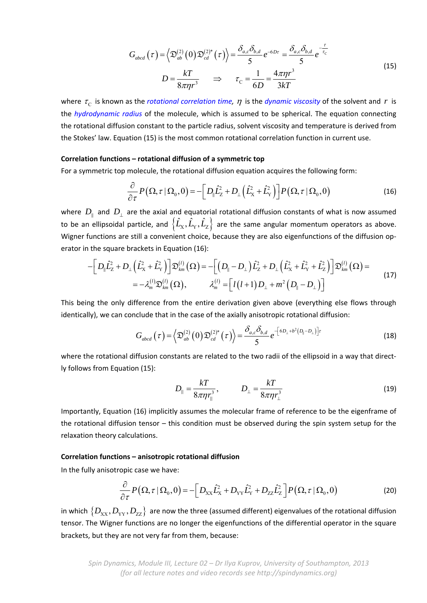$$
G_{abcd}(\tau) = \left\langle \mathfrak{D}_{ab}^{(2)}(0)\mathfrak{D}_{cd}^{(2)*}(\tau) \right\rangle = \frac{\delta_{a,c}\delta_{b,d}}{5}e^{-6D\tau} = \frac{\delta_{a,c}\delta_{b,d}}{5}e^{-\tau_c}
$$
  

$$
D = \frac{kT}{8\pi\eta r^3} \quad \Rightarrow \quad \tau_c = \frac{1}{6D} = \frac{4\pi\eta r^3}{3kT}
$$
 (15)

where  $\tau_c$  is known as the *rotational correlation time,*  $\eta$  is the *dynamic viscosity* of the solvent and  $r$  is the *hydrodynamic radius* of the molecule, which is assumed to be spherical. The equation connecting the rotational diffusion constant to the particle radius, solvent viscosity and temperature is derived from the Stokes' law. Equation (15) is the most common rotational correlation function in current use.

#### **Correlation functions – rotational diffusion of a symmetric top**

For a symmetric top molecule, the rotational diffusion equation acquires the following form:

$$
\frac{\partial}{\partial \tau} P\big(\Omega, \tau \,|\, \Omega_0, 0\big) = -\bigg[D_{\parallel} \hat{L}_Z^2 + D_{\perp} \Big(\hat{L}_X^2 + \hat{L}_Y^2\Big)\bigg] P\big(\Omega, \tau \,|\, \Omega_0, 0\big) \tag{16}
$$

where  $\,D_{_\|}$  and  $\,D_{_\perp}$  are the axial and equatorial rotational diffusion constants of what is now assumed to be an ellipsoidal particle, and  $\big\{ \hat{L}_{\rm X}, \hat{L}_{\rm Y}, \hat{L}_{\rm Z} \big\}$  are the same angular momentum operators as above. Wigner functions are still a convenient choice, because they are also eigenfunctions of the diffusion operator in the square brackets in Equation (16):

$$
-\Big[D_{\parallel}\hat{L}_{z}^{2}+D_{\perp}\Big(\hat{L}_{x}^{2}+\hat{L}_{Y}^{2}\Big)\Big]\mathfrak{D}_{km}^{(l)}(\Omega)=-\Big[\Big(D_{\parallel}-D_{\perp}\Big)\hat{L}_{z}^{2}+D_{\perp}\Big(\hat{L}_{x}^{2}+\hat{L}_{Y}^{2}+\hat{L}_{Z}^{2}\Big)\Big]\mathfrak{D}_{km}^{(l)}(\Omega)=-\lambda_{m}^{(l)}\mathfrak{D}_{km}^{(l)}(\Omega),\qquad\lambda_{m}^{(l)}=\Big[\,l(l+1)D_{\perp}+m^{2}\Big(D_{\parallel}-D_{\perp}\Big)\Big]\tag{17}
$$

This being the only difference from the entire derivation given above (everything else flows through identically), we can conclude that in the case of the axially anisotropic rotational diffusion:

$$
G_{abcd}(\tau) = \left\langle \mathfrak{D}_{ab}^{(2)}(0)\mathfrak{D}_{cd}^{(2)*}(\tau) \right\rangle = \frac{\delta_{a,c}\delta_{b,d}}{5}e^{-\left[\delta D_{\perp} + b^2(D_{\parallel} - D_{\perp})\right]\tau}
$$
(18)

where the rotational diffusion constants are related to the two radii of the ellipsoid in a way that directly follows from Equation (15):

$$
D_{\parallel} = \frac{kT}{8\pi\eta r_{\parallel}^{3}}, \qquad D_{\perp} = \frac{kT}{8\pi\eta r_{\perp}^{3}} \tag{19}
$$

Importantly, Equation (16) implicitly assumes the molecular frame of reference to be the eigenframe of the rotational diffusion tensor – this condition must be observed during the spin system setup for the relaxation theory calculations.

#### **Correlation functions – anisotropic rotational diffusion**

In the fully anisotropic case we have:

$$
\frac{\partial}{\partial \tau} P\big(\Omega, \tau \,|\, \Omega_0, 0\big) = -\Big[D_{XX}\hat{L}_X^2 + D_{YY}\hat{L}_Y^2 + D_{ZZ}\hat{L}_Z^2\Big] P\big(\Omega, \tau \,|\, \Omega_0, 0\big) \tag{20}
$$

in which  $\{D_{XX}, D_{YY}, D_{ZZ}\}\;$  are now the three (assumed different) eigenvalues of the rotational diffusion tensor. The Wigner functions are no longer the eigenfunctions of the differential operator in the square brackets, but they are not very far from them, because: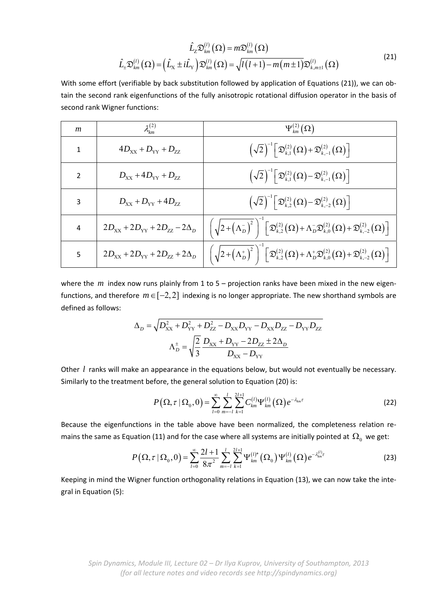$$
\hat{L}_{z}\mathfrak{D}_{km}^{(l)}\left(\Omega\right) = m\mathfrak{D}_{km}^{(l)}\left(\Omega\right)
$$
\n
$$
\hat{L}_{\pm}\mathfrak{D}_{km}^{(l)}\left(\Omega\right) = \left(\hat{L}_{x} \pm i\hat{L}_{y}\right)\mathfrak{D}_{km}^{(l)}\left(\Omega\right) = \sqrt{l(l+1) - m\left(m\pm 1\right)}\mathfrak{D}_{k,m\pm 1}^{(l)}\left(\Omega\right)
$$
\n(21)

With some effort (verifiable by back substitution followed by application of Equations (21)), we can obtain the second rank eigenfunctions of the fully anisotropic rotational diffusion operator in the basis of second rank Wigner functions:

| m | $\lambda_{lm}^{(2)}$                                              | $\Psi_{km}^{(2)}(\Omega)$                                                                                                                                                                                                  |  |  |
|---|-------------------------------------------------------------------|----------------------------------------------------------------------------------------------------------------------------------------------------------------------------------------------------------------------------|--|--|
| 1 | $4D_{XX} + D_{YY} + D_{ZZ}$                                       | $\left(\sqrt{2}\right)^{-1} \left[\mathfrak{D}^{(2)}_{k,1}\left(\Omega\right)+\mathfrak{D}^{(2)}_{k,-1}\left(\Omega\right)\right]$                                                                                         |  |  |
| 2 | $D_{XX} + 4D_{YY} + D_{ZZ}$                                       | $\left(\sqrt{2}\right)^{-1}\left[\mathfrak{D}^{(2)}_{k,1}\left(\Omega\right)-\mathfrak{D}^{(2)}_{k,-1}\left(\Omega\right)\right]$                                                                                          |  |  |
| 3 | $D_{XX} + D_{YY} + 4D_{ZZ}$                                       | $\left(\sqrt{2}\right)^{-1}\left[\mathfrak{D}^{(2)}_{k,2}\left(\Omega\right)-\mathfrak{D}^{(2)}_{k,-2}\left(\Omega\right)\right]$                                                                                          |  |  |
| 4 | $2D_{\text{xx}}+2D_{\text{yy}}+2D_{\text{zz}}-2\Delta_{\text{D}}$ | $\left(\sqrt{2+\left(\Lambda_{D}^{-}\right)^{2}}\,\right)\left[\mathfrak{D}_{k,2}^{(2)}\left(\Omega\right)+\Lambda_{D}^{-}\mathfrak{D}_{k,0}^{(2)}\left(\Omega\right)+\mathfrak{D}_{k,-2}^{(2)}\left(\Omega\right)\right]$ |  |  |
| 5 | $2D_{\text{XX}}+2D_{\text{YY}}+2D_{\text{ZZ}}+2\Delta_{\text{D}}$ | $\left(\sqrt{2+\left(\Lambda_{D}^{+}\right)^2}\,\right)\left[\mathfrak{D}_{k,2}^{(2)}\left(\Omega\right)+\Lambda_{D}^{+}\mathfrak{D}_{k,0}^{(2)}\left(\Omega\right)+\mathfrak{D}_{k,-2}^{(2)}\left(\Omega\right)\right]$   |  |  |

where the  $m$  index now runs plainly from 1 to 5 – projection ranks have been mixed in the new eigenfunctions, and therefore  $m \in [-2,2]$  indexing is no longer appropriate. The new shorthand symbols are defined as follows:

$$
\Delta_D = \sqrt{D_{XX}^2 + D_{YY}^2 + D_{ZZ}^2 - D_{XX}D_{YY} - D_{XX}D_{ZZ} - D_{YY}D_{ZZ}}
$$

$$
\Lambda_D^{\pm} = \sqrt{\frac{2}{3}} \frac{D_{XX} + D_{YY} - 2D_{ZZ} \pm 2\Delta_D}{D_{XX} - D_{YY}}
$$

Other *l* ranks will make an appearance in the equations below, but would not eventually be necessary. Similarly to the treatment before, the general solution to Equation (20) is:

$$
P\left(\Omega,\tau\,|\,\Omega_{0},0\right)=\sum_{l=0}^{\infty}\sum_{m=-l}^{l}\sum_{k=1}^{2l+1}C_{km}^{(l)}\Psi_{km}^{(l)}\left(\Omega\right)e^{-\lambda_{km}\tau}\tag{22}
$$

Because the eigenfunctions in the table above have been normalized, the completeness relation remains the same as Equation (11) and for the case where all systems are initially pointed at  $\Omega_0$  we get:

$$
P\left(\Omega,\tau\,|\,\Omega_{0},0\right)=\sum_{l=0}^{\infty}\frac{2l+1}{8\pi^{2}}\sum_{m=-l}^{l}\sum_{k=1}^{2l+1}\Psi_{km}^{(l)*}\left(\Omega_{0}\right)\Psi_{km}^{(l)}\left(\Omega\right)e^{-\lambda_{km}^{(l)}\tau}
$$
(23)

Keeping in mind the Wigner function orthogonality relations in Equation (13), we can now take the integral in Equation (5):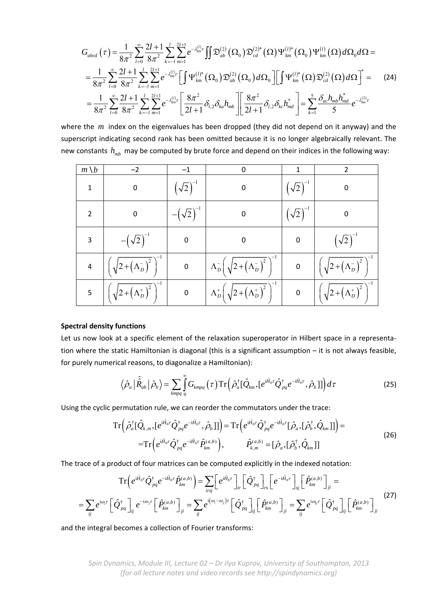$$
G_{abcd}(\tau) = \frac{1}{8\pi^2} \sum_{l=0}^{\infty} \frac{2l+1}{8\pi^2} \sum_{k=-l}^{l} \sum_{m=1}^{2l+1} e^{-\lambda_{km}^{(l)}\tau} \iint \mathfrak{D}_{ab}^{(2)}(\Omega_0) \mathfrak{D}_{cd}^{(2)*}(\Omega) \Psi_{km}^{(l)*}(\Omega_0) \Psi_{km}^{(l)}(\Omega) d\Omega_0 d\Omega =
$$
  
\n
$$
= \frac{1}{8\pi^2} \sum_{l=0}^{\infty} \frac{2l+1}{8\pi^2} \sum_{k=-l}^{l} \sum_{m=1}^{2l+1} e^{-\lambda_{km}^{(l)}\tau} \left[ \int \Psi_{km}^{(l)*}(\Omega_0) \mathfrak{D}_{ab}^{(2)}(\Omega_0) d\Omega_0 \right] \left[ \int \Psi_{km}^{(l)*}(\Omega) \mathfrak{D}_{cd}^{(2)}(\Omega) d\Omega \right]^* =
$$
  
\n
$$
= \frac{1}{8\pi^2} \sum_{l=0}^{\infty} \frac{2l+1}{8\pi^2} \sum_{k=-l}^{l} \sum_{m=1}^{2l+1} e^{-\lambda_{km}^{(l)}\tau} \left[ \frac{8\pi^2}{2l+1} \delta_{l,2} \delta_{ka} h_{mb} \right] \left[ \frac{8\pi^2}{2l+1} \delta_{l,2} \delta_{kc} h_{md}^* \right] = \sum_{k=1}^{5} \frac{\delta_{ac} h_{mb} h_{md}^*}{5} e^{-\lambda_{km}^{(2)}\tau}
$$

where the *m* index on the eigenvalues has been dropped (they did not depend on it anyway) and the superscript indicating second rank has been omitted because it is no longer algebraically relevant. The new constants  $h_{mb}$  may be computed by brute force and depend on their indices in the following way:

| $m \setminus b$ | -2                                                 |               | 0                                                                               |              |                                                    |
|-----------------|----------------------------------------------------|---------------|---------------------------------------------------------------------------------|--------------|----------------------------------------------------|
| $\mathbf{1}$    | 0                                                  | $(\sqrt{2})$  | 0                                                                               | $(\sqrt{2})$ | 0                                                  |
| $\overline{2}$  | $\overline{0}$                                     | $-(\sqrt{2})$ | 0                                                                               | $\sqrt{2}$   | $\pmb{0}$                                          |
| 3               | $-\left(\sqrt{2}\right)^{-}$                       | $\pmb{0}$     | $\mathbf 0$                                                                     | $\mathbf 0$  | $(\sqrt{2})$                                       |
| $\overline{a}$  | $\left(\sqrt{2+\left(\Lambda_D^-\right)^2}\right)$ | $\pmb{0}$     | $\Lambda_D^{-}\left(\sqrt{2+\left(\Lambda_D^{-}\right)^2}\,\right)^{-1}$        | $\pmb{0}$    | $\left(\sqrt{2+\left(\Lambda_D^-\right)^2}\right)$ |
| 5               | $\left(\sqrt{2+\left(\Lambda_D^+\right)^2}\right)$ | $\pmb{0}$     | $\Lambda_D^+ \left( \sqrt{2 + \left( \overline{\Lambda_D^+} \right)^2} \right)$ | $\pmb{0}$    | $\left(\sqrt{2+(\Lambda_D^*)^2}\right)^2$          |

## **Spectral density functions**

Let us now look at a specific element of the relaxation superoperator in Hilbert space in a representation where the static Hamiltonian is diagonal (this is a significant assumption – it is not always feasible, for purely numerical reasons, to diagonalize a Hamiltonian):

$$
\left\langle \hat{\rho}_a \left| \hat{\hat{R}}_{ab} \right| \hat{\rho}_b \right\rangle = \sum_{kmpq} \int_0^\infty G_{kmpq}(\tau) \operatorname{Tr} \left( \hat{\rho}_a^\dagger [\hat{Q}_{km}, [e^{i\hat{H}_0 \tau} \hat{Q}_{pq}^\dagger e^{-i\hat{H}_0 \tau}, \hat{\rho}_b]] \right) d\tau
$$
 (25)

Using the cyclic permutation rule, we can reorder the commutators under the trace:

$$
\operatorname{Tr}\left(\hat{\rho}_{a}^{\dagger}[\hat{Q}_{k,m},[e^{i\hat{H}_{0}t}\hat{Q}_{pq}^{\dagger}e^{-i\hat{H}_{0}t},\hat{\rho}_{b}]]\right)=\operatorname{Tr}\left(e^{i\hat{H}_{0}t}\hat{Q}_{pq}^{\dagger}e^{-i\hat{H}_{0}t}[\hat{\rho}_{a},[\hat{\rho}_{b}^{\dagger},\hat{Q}_{km}]]\right)=\n\begin{aligned}\n&=\operatorname{Tr}\left(e^{i\hat{H}_{0}t}\hat{Q}_{pq}^{\dagger}e^{-i\hat{H}_{0}t}\hat{P}_{km}^{(a,b)}\right), & \hat{P}_{k,m}^{(a,b)}=[\hat{\rho}_{a},[\hat{\rho}_{b}^{\dagger},\hat{Q}_{km}]]\n\end{aligned}
$$
\n(26)

The trace of a product of four matrices can be computed explicitly in the indexed notation:

$$
\operatorname{Tr}\left(e^{i\hat{H}_0\tau}\hat{Q}_{pq}^{\dagger}e^{-i\hat{H}_0\tau}\hat{P}_{km}^{(a,b)}\right) = \sum_{i\,r\,j}\left[e^{i\hat{H}_0\tau}\right]_{ir}\left[\hat{Q}_{pq}^{\dagger}\right]_{rs}\left[e^{-i\hat{H}_0\tau}\right]_{sj}\left[\hat{P}_{km}^{(a,b)}\right]_{ji} =
$$
\n
$$
= \sum_{ij}e^{i\omega_i\tau}\left[\hat{Q}_{pq}^{\dagger}\right]_{ij}e^{-i\omega_j\tau}\left[\hat{P}_{km}^{(a,b)}\right]_{ji} = \sum_{ij}e^{i(\omega_i-\omega_j)\tau}\left[\hat{Q}_{pq}^{\dagger}\right]_{ij}\left[\hat{P}_{km}^{(a,b)}\right]_{ji} = \sum_{ij}e^{i\omega_{ij}\tau}\left[\hat{Q}_{pq}^{\dagger}\right]_{ij}\left[\hat{P}_{km}^{(a,b)}\right]_{ji}
$$
\n(27)

and the integral becomes a collection of Fourier transforms:

*Spin Dynamics, Module III, Lecture 02 – Dr Ilya Kuprov, University of Southampton, 2013 (for all lecture notes and video records see http://spindynamics.org)*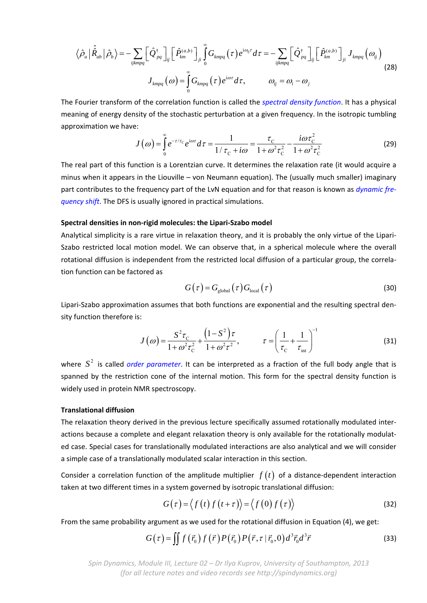$$
\left\langle \hat{\rho}_a \left| \hat{\hat{R}}_{ab} \right| \hat{\rho}_b \right\rangle = - \sum_{ijklmpq} \left[ \hat{\mathcal{Q}}^{\dagger}_{pq} \right]_{ij} \left[ \hat{P}^{(a,b)}_{km} \right]_{ji} \int_0^{\infty} G_{kmpq}(\tau) e^{i\omega_{ij}\tau} d\tau = - \sum_{ijklmpq} \left[ \hat{\mathcal{Q}}^{\dagger}_{pq} \right]_{ij} \left[ \hat{P}^{(a,b)}_{km} \right]_{ji} J_{kmpq}(\omega_{ij})
$$
\n
$$
J_{kmpq}(\omega) = \int_0^{\infty} G_{kmpq}(\tau) e^{i\omega\tau} d\tau, \qquad \omega_{ij} = \omega_i - \omega_j
$$
\n(28)

The Fourier transform of the correlation function is called the *spectral density function*. It has a physical meaning of energy density of the stochastic perturbation at a given frequency. In the isotropic tumbling approximation we have:

$$
J(\omega) = \int_{0}^{\infty} e^{-\tau/\tau_{\rm C}} e^{i\omega\tau} d\tau = \frac{1}{1/\tau_{\rm C} + i\omega} = \frac{\tau_{\rm C}}{1 + \omega^2 \tau_{\rm C}^2} - \frac{i\omega \tau_{\rm C}^2}{1 + \omega^2 \tau_{\rm C}^2}
$$
(29)

The real part of this function is a Lorentzian curve. It determines the relaxation rate (it would acquire a minus when it appears in the Liouville – von Neumann equation). The (usually much smaller) imaginary part contributes to the frequency part of the LvN equation and for that reason is known as *dynamic fre‐ quency shift*. The DFS is usually ignored in practical simulations.

#### **Spectral densities in non‐rigid molecules: the Lipari‐Szabo model**

Analytical simplicity is a rare virtue in relaxation theory, and it is probably the only virtue of the Lipari‐ Szabo restricted local motion model. We can observe that, in a spherical molecule where the overall rotational diffusion is independent from the restricted local diffusion of a particular group, the correla‐ tion function can be factored as

$$
G(\tau) = G_{\text{global}}(\tau) G_{\text{local}}(\tau) \tag{30}
$$

Lipari‐Szabo approximation assumes that both functions are exponential and the resulting spectral den‐ sity function therefore is:

$$
J(\omega) = \frac{S^2 \tau_{\text{C}}}{1 + \omega^2 \tau_{\text{C}}^2} + \frac{\left(1 - S^2\right) \tau}{1 + \omega^2 \tau^2}, \qquad \tau = \left(\frac{1}{\tau_{\text{C}}} + \frac{1}{\tau_{\text{int}}}\right)^{-1}
$$
(31)

where  $S<sup>2</sup>$  is called *order parameter*. It can be interpreted as a fraction of the full body angle that is spanned by the restriction cone of the internal motion. This form for the spectral density function is widely used in protein NMR spectroscopy.

#### **Translational diffusion**

The relaxation theory derived in the previous lecture specifically assumed rotationally modulated inter‐ actions because a complete and elegant relaxation theory is only available for the rotationally modulated case. Special cases for translationally modulated interactions are also analytical and we will consider a simple case of a translationally modulated scalar interaction in this section.

Consider a correlation function of the amplitude multiplier  $f(t)$  of a distance-dependent interaction taken at two different times in a system governed by isotropic translational diffusion:

$$
G(\tau) = \langle f(t) f(t+\tau) \rangle = \langle f(0) f(\tau) \rangle \tag{32}
$$

From the same probability argument as we used for the rotational diffusion in Equation (4), we get:

$$
G(\tau) = \iint f(\vec{r_0}) f(\vec{r}) P(\vec{r_0}) P(\vec{r}, \tau | \vec{r_0}, 0) d^3 \vec{r_0} d^3 \vec{r}
$$
 (33)

*Spin Dynamics, Module III, Lecture 02 – Dr Ilya Kuprov, University of Southampton, 2013 (for all lecture notes and video records see http://spindynamics.org)*